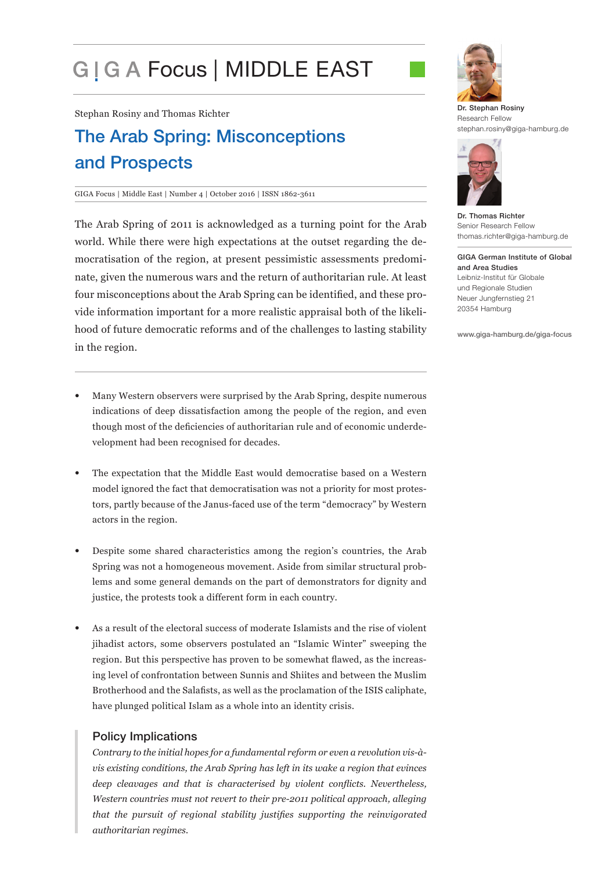# G | G A Focus | MIDDLE EAST

Stephan Rosiny and Thomas Richter

# The Arab Spring: Misconceptions and Prospects

#### GIGA Focus | Middle East | Number 4 | October 2016 | ISSN 1862-3611

The Arab Spring of 2011 is acknowledged as a turning point for the Arab world. While there were high expectations at the outset regarding the democratisation of the region, at present pessimistic assessments predominate, given the numerous wars and the return of authoritarian rule. At least four misconceptions about the Arab Spring can be identified, and these provide information important for a more realistic appraisal both of the likelihood of future democratic reforms and of the challenges to lasting stability in the region.

- Many Western observers were surprised by the Arab Spring, despite numerous indications of deep dissatisfaction among the people of the region, and even though most of the deficiencies of authoritarian rule and of economic underdevelopment had been recognised for decades.
- The expectation that the Middle East would democratise based on a Western model ignored the fact that democratisation was not a priority for most protestors, partly because of the Janus-faced use of the term "democracy" by Western actors in the region.
- Despite some shared characteristics among the region's countries, the Arab Spring was not a homogeneous movement. Aside from similar structural problems and some general demands on the part of demonstrators for dignity and justice, the protests took a different form in each country.
- As a result of the electoral success of moderate Islamists and the rise of violent jihadist actors, some observers postulated an "Islamic Winter" sweeping the region. But this perspective has proven to be somewhat flawed, as the increasing level of confrontation between Sunnis and Shiites and between the Muslim Brotherhood and the Salafists, as well as the proclamation of the ISIS caliphate, have plunged political Islam as a whole into an identity crisis.

#### Policy Implications

*Contrary to the initial hopes for a fundamental reform or even a revolution vis-àvis existing conditions, the Arab Spring has left in its wake a region that evinces deep cleavages and that is characterised by violent conflicts. Nevertheless, Western countries must not revert to their pre-2011 political approach, alleging that the pursuit of regional stability justifies supporting the reinvigorated authoritarian regimes.*



Dr. Stephan Rosiny Research Fellow stephan.rosiny@giga-hamburg.de



Dr. Thomas Richter Senior Research Fellow thomas.richter@giga-hamburg.de

GIGA German Institute of Global and Area Studies Leibniz-Institut für Globale und Regionale Studien Neuer Jungfernstieg 21 20354 Hamburg

www.giga-hamburg.de/giga-focus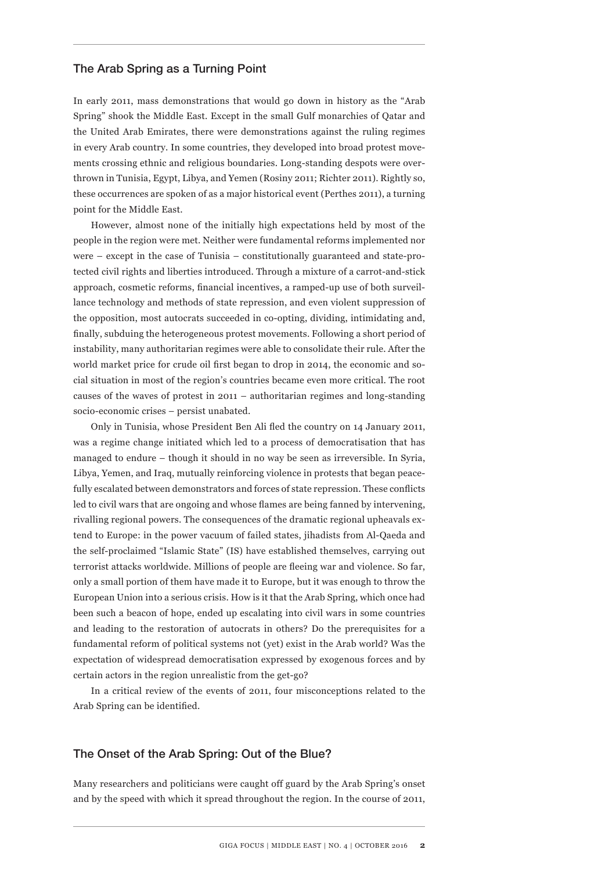#### The Arab Spring as a Turning Point

In early 2011, mass demonstrations that would go down in history as the "Arab Spring" shook the Middle East. Except in the small Gulf monarchies of Qatar and the United Arab Emirates, there were demonstrations against the ruling regimes in every Arab country. In some countries, they developed into broad protest movements crossing ethnic and religious boundaries. Long-standing despots were overthrown in Tunisia, Egypt, Libya, and Yemen (Rosiny 2011; Richter 2011). Rightly so, these occurrences are spoken of as a major historical event (Perthes 2011), a turning point for the Middle East.

However, almost none of the initially high expectations held by most of the people in the region were met. Neither were fundamental reforms implemented nor were – except in the case of Tunisia – constitutionally guaranteed and state-protected civil rights and liberties introduced. Through a mixture of a carrot-and-stick approach, cosmetic reforms, financial incentives, a ramped-up use of both surveillance technology and methods of state repression, and even violent suppression of the opposition, most autocrats succeeded in co-opting, dividing, intimidating and, finally, subduing the heterogeneous protest movements. Following a short period of instability, many authoritarian regimes were able to consolidate their rule. After the world market price for crude oil first began to drop in 2014, the economic and social situation in most of the region's countries became even more critical. The root causes of the waves of protest in 2011 – authoritarian regimes and long-standing socio-economic crises – persist unabated.

Only in Tunisia, whose President Ben Ali fled the country on 14 January 2011, was a regime change initiated which led to a process of democratisation that has managed to endure – though it should in no way be seen as irreversible. In Syria, Libya, Yemen, and Iraq, mutually reinforcing violence in protests that began peacefully escalated between demonstrators and forces of state repression. These conflicts led to civil wars that are ongoing and whose flames are being fanned by intervening, rivalling regional powers. The consequences of the dramatic regional upheavals extend to Europe: in the power vacuum of failed states, jihadists from Al-Qaeda and the self-proclaimed "Islamic State" (IS) have established themselves, carrying out terrorist attacks worldwide. Millions of people are fleeing war and violence. So far, only a small portion of them have made it to Europe, but it was enough to throw the European Union into a serious crisis. How is it that the Arab Spring, which once had been such a beacon of hope, ended up escalating into civil wars in some countries and leading to the restoration of autocrats in others? Do the prerequisites for a fundamental reform of political systems not (yet) exist in the Arab world? Was the expectation of widespread democratisation expressed by exogenous forces and by certain actors in the region unrealistic from the get-go?

In a critical review of the events of 2011, four misconceptions related to the Arab Spring can be identified.

# The Onset of the Arab Spring: Out of the Blue?

Many researchers and politicians were caught off guard by the Arab Spring's onset and by the speed with which it spread throughout the region. In the course of 2011,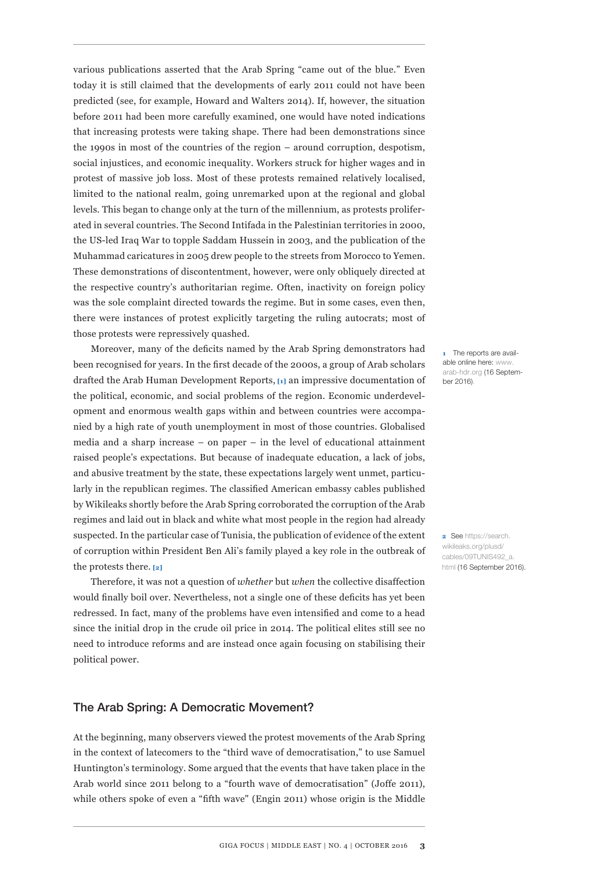various publications asserted that the Arab Spring "came out of the blue." Even today it is still claimed that the developments of early 2011 could not have been predicted (see, for example, Howard and Walters 2014). If, however, the situation before 2011 had been more carefully examined, one would have noted indications that increasing protests were taking shape. There had been demonstrations since the 1990s in most of the countries of the region – around corruption, despotism, social injustices, and economic inequality. Workers struck for higher wages and in protest of massive job loss. Most of these protests remained relatively localised, limited to the national realm, going unremarked upon at the regional and global levels. This began to change only at the turn of the millennium, as protests proliferated in several countries. The Second Intifada in the Palestinian territories in 2000, the US-led Iraq War to topple Saddam Hussein in 2003, and the publication of the Muhammad caricatures in 2005 drew people to the streets from Morocco to Yemen. These demonstrations of discontentment, however, were only obliquely directed at the respective country's authoritarian regime. Often, inactivity on foreign policy was the sole complaint directed towards the regime. But in some cases, even then, there were instances of protest explicitly targeting the ruling autocrats; most of those protests were repressively quashed.

Moreover, many of the deficits named by the Arab Spring demonstrators had been recognised for years. In the first decade of the 2000s, a group of Arab scholars drafted the Arab Human Development Reports, **[1]** an impressive documentation of the political, economic, and social problems of the region. Economic underdevelopment and enormous wealth gaps within and between countries were accompanied by a high rate of youth unemployment in most of those countries. Globalised media and a sharp increase – on paper – in the level of educational attainment raised people's expectations. But because of inadequate education, a lack of jobs, and abusive treatment by the state, these expectations largely went unmet, particularly in the republican regimes. The classified American embassy cables published by Wikileaks shortly before the Arab Spring corroborated the corruption of the Arab regimes and laid out in black and white what most people in the region had already suspected. In the particular case of Tunisia, the publication of evidence of the extent of corruption within President Ben Ali's family played a key role in the outbreak of the protests there. **[2]**

Therefore, it was not a question of *whether* but *when* the collective disaffection would finally boil over. Nevertheless, not a single one of these deficits has yet been redressed. In fact, many of the problems have even intensified and come to a head since the initial drop in the crude oil price in 2014. The political elites still see no need to introduce reforms and are instead once again focusing on stabilising their political power.

## The Arab Spring: A Democratic Movement?

At the beginning, many observers viewed the protest movements of the Arab Spring in the context of latecomers to the "third wave of democratisation," to use Samuel Huntington's terminology. Some argued that the events that have taken place in the Arab world since 2011 belong to a "fourth wave of democratisation" (Joffe 2011), while others spoke of even a "fifth wave" (Engin 2011) whose origin is the Middle

**1** The reports are available online here: www. arab-hdr.org (16 September 2016).

**2** See https://search. wikileaks.org/plusd/ cables/09TUNIS492\_a. html (16 September 2016).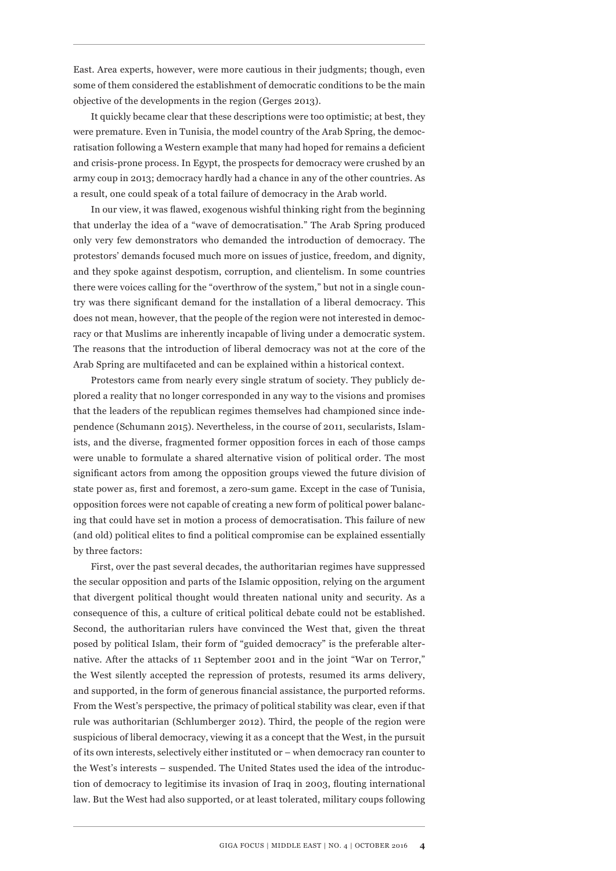East. Area experts, however, were more cautious in their judgments; though, even some of them considered the establishment of democratic conditions to be the main objective of the developments in the region (Gerges 2013).

It quickly became clear that these descriptions were too optimistic; at best, they were premature. Even in Tunisia, the model country of the Arab Spring, the democratisation following a Western example that many had hoped for remains a deficient and crisis-prone process. In Egypt, the prospects for democracy were crushed by an army coup in 2013; democracy hardly had a chance in any of the other countries. As a result, one could speak of a total failure of democracy in the Arab world.

In our view, it was flawed, exogenous wishful thinking right from the beginning that underlay the idea of a "wave of democratisation." The Arab Spring produced only very few demonstrators who demanded the introduction of democracy. The protestors' demands focused much more on issues of justice, freedom, and dignity, and they spoke against despotism, corruption, and clientelism. In some countries there were voices calling for the "overthrow of the system," but not in a single country was there significant demand for the installation of a liberal democracy. This does not mean, however, that the people of the region were not interested in democracy or that Muslims are inherently incapable of living under a democratic system. The reasons that the introduction of liberal democracy was not at the core of the Arab Spring are multifaceted and can be explained within a historical context.

Protestors came from nearly every single stratum of society. They publicly deplored a reality that no longer corresponded in any way to the visions and promises that the leaders of the republican regimes themselves had championed since independence (Schumann 2015). Nevertheless, in the course of 2011, secularists, Islamists, and the diverse, fragmented former opposition forces in each of those camps were unable to formulate a shared alternative vision of political order. The most significant actors from among the opposition groups viewed the future division of state power as, first and foremost, a zero-sum game. Except in the case of Tunisia, opposition forces were not capable of creating a new form of political power balancing that could have set in motion a process of democratisation. This failure of new (and old) political elites to find a political compromise can be explained essentially by three factors:

First, over the past several decades, the authoritarian regimes have suppressed the secular opposition and parts of the Islamic opposition, relying on the argument that divergent political thought would threaten national unity and security. As a consequence of this, a culture of critical political debate could not be established. Second, the authoritarian rulers have convinced the West that, given the threat posed by political Islam, their form of "guided democracy" is the preferable alternative. After the attacks of 11 September 2001 and in the joint "War on Terror," the West silently accepted the repression of protests, resumed its arms delivery, and supported, in the form of generous financial assistance, the purported reforms. From the West's perspective, the primacy of political stability was clear, even if that rule was authoritarian (Schlumberger 2012). Third, the people of the region were suspicious of liberal democracy, viewing it as a concept that the West, in the pursuit of its own interests, selectively either instituted or – when democracy ran counter to the West's interests – suspended. The United States used the idea of the introduction of democracy to legitimise its invasion of Iraq in 2003, flouting international law. But the West had also supported, or at least tolerated, military coups following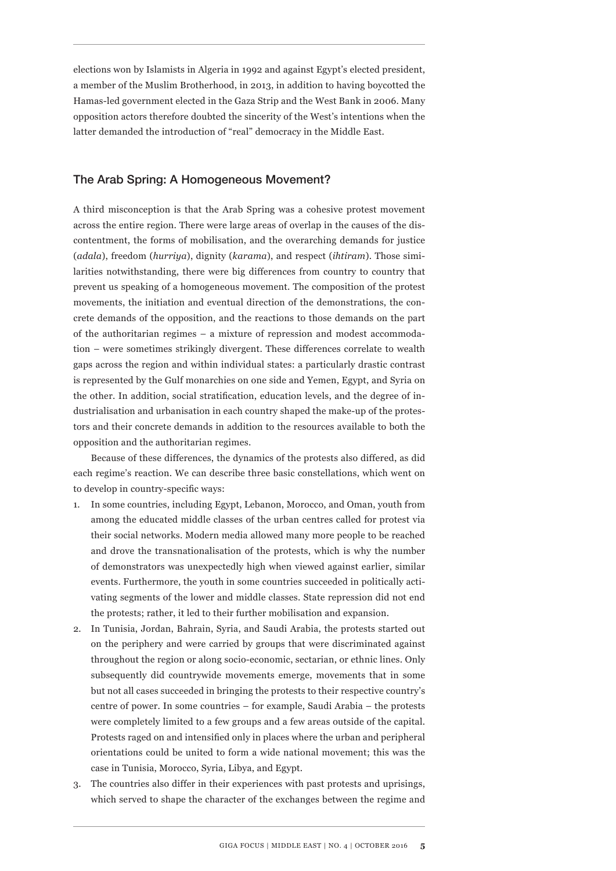elections won by Islamists in Algeria in 1992 and against Egypt's elected president, a member of the Muslim Brotherhood, in 2013, in addition to having boycotted the Hamas-led government elected in the Gaza Strip and the West Bank in 2006. Many opposition actors therefore doubted the sincerity of the West's intentions when the latter demanded the introduction of "real" democracy in the Middle East.

#### The Arab Spring: A Homogeneous Movement?

A third misconception is that the Arab Spring was a cohesive protest movement across the entire region. There were large areas of overlap in the causes of the discontentment, the forms of mobilisation, and the overarching demands for justice (*adala*), freedom (*hurriya*), dignity (*karama*), and respect (*ihtiram*). Those similarities notwithstanding, there were big differences from country to country that prevent us speaking of a homogeneous movement. The composition of the protest movements, the initiation and eventual direction of the demonstrations, the concrete demands of the opposition, and the reactions to those demands on the part of the authoritarian regimes – a mixture of repression and modest accommodation – were sometimes strikingly divergent. These differences correlate to wealth gaps across the region and within individual states: a particularly drastic contrast is represented by the Gulf monarchies on one side and Yemen, Egypt, and Syria on the other. In addition, social stratification, education levels, and the degree of industrialisation and urbanisation in each country shaped the make-up of the protestors and their concrete demands in addition to the resources available to both the opposition and the authoritarian regimes.

Because of these differences, the dynamics of the protests also differed, as did each regime's reaction. We can describe three basic constellations, which went on to develop in country-specific ways:

- 1. In some countries, including Egypt, Lebanon, Morocco, and Oman, youth from among the educated middle classes of the urban centres called for protest via their social networks. Modern media allowed many more people to be reached and drove the transnationalisation of the protests, which is why the number of demonstrators was unexpectedly high when viewed against earlier, similar events. Furthermore, the youth in some countries succeeded in politically activating segments of the lower and middle classes. State repression did not end the protests; rather, it led to their further mobilisation and expansion.
- 2. In Tunisia, Jordan, Bahrain, Syria, and Saudi Arabia, the protests started out on the periphery and were carried by groups that were discriminated against throughout the region or along socio-economic, sectarian, or ethnic lines. Only subsequently did countrywide movements emerge, movements that in some but not all cases succeeded in bringing the protests to their respective country's centre of power. In some countries – for example, Saudi Arabia – the protests were completely limited to a few groups and a few areas outside of the capital. Protests raged on and intensified only in places where the urban and peripheral orientations could be united to form a wide national movement; this was the case in Tunisia, Morocco, Syria, Libya, and Egypt.
- 3. The countries also differ in their experiences with past protests and uprisings, which served to shape the character of the exchanges between the regime and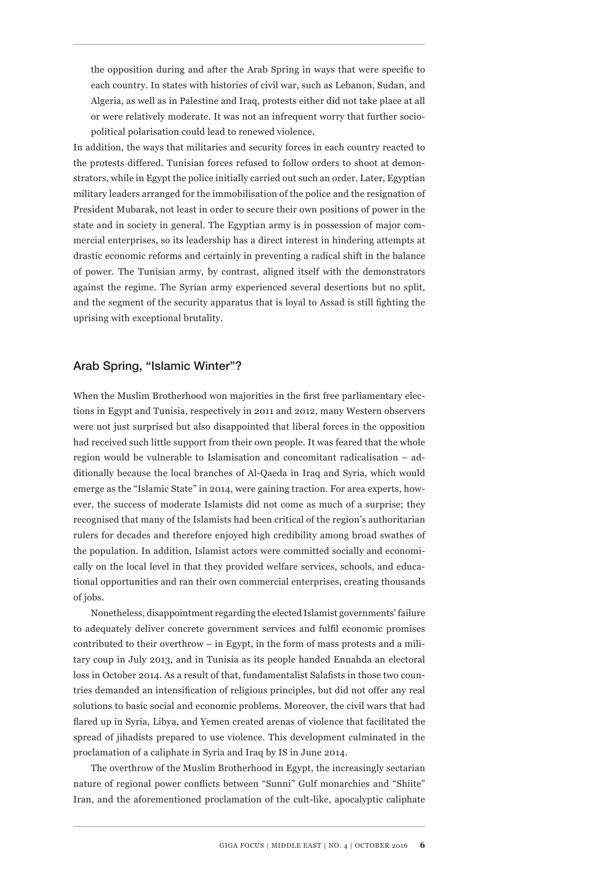the opposition during and after the Arab Spring in ways that were specific to each country. In states with histories of civil war, such as Lebanon, Sudan, and Algeria, as well as in Palestine and Iraq, protests either did not take place at all or were relatively moderate. It was not an infrequent worry that further sociopolitical polarisation could lead to renewed violence.

In addition, the ways that militaries and security forces in each country reacted to the protests differed. Tunisian forces refused to follow orders to shoot at demonstrators, while in Egypt the police initially carried out such an order. Later, Egyptian military leaders arranged for the immobilisation of the police and the resignation of President Mubarak, not least in order to secure their own positions of power in the state and in society in general. The Egyptian army is in possession of major commercial enterprises, so its leadership has a direct interest in hindering attempts at drastic economic reforms and certainly in preventing a radical shift in the balance of power. The Tunisian army, by contrast, aligned itself with the demonstrators against the regime. The Syrian army experienced several desertions but no split, and the segment of the security apparatus that is loyal to Assad is still fighting the uprising with exceptional brutality.

#### Arab Spring, "Islamic Winter"?

When the Muslim Brotherhood won majorities in the first free parliamentary elections in Egypt and Tunisia, respectively in 2011 and 2012, many Western observers were not just surprised but also disappointed that liberal forces in the opposition had received such little support from their own people. It was feared that the whole region would be vulnerable to Islamisation and concomitant radicalisation – additionally because the local branches of Al-Qaeda in Iraq and Syria, which would emerge as the "Islamic State" in 2014, were gaining traction. For area experts, however, the success of moderate Islamists did not come as much of a surprise; they recognised that many of the Islamists had been critical of the region's authoritarian rulers for decades and therefore enjoyed high credibility among broad swathes of the population. In addition, Islamist actors were committed socially and economically on the local level in that they provided welfare services, schools, and educational opportunities and ran their own commercial enterprises, creating thousands of jobs.

Nonetheless, disappointment regarding the elected Islamist governments' failure to adequately deliver concrete government services and fulfil economic promises contributed to their overthrow – in Egypt, in the form of mass protests and a military coup in July 2013, and in Tunisia as its people handed Ennahda an electoral loss in October 2014. As a result of that, fundamentalist Salafists in those two countries demanded an intensification of religious principles, but did not offer any real solutions to basic social and economic problems. Moreover, the civil wars that had flared up in Syria, Libya, and Yemen created arenas of violence that facilitated the spread of jihadists prepared to use violence. This development culminated in the proclamation of a caliphate in Syria and Iraq by IS in June 2014.

The overthrow of the Muslim Brotherhood in Egypt, the increasingly sectarian nature of regional power conflicts between "Sunni" Gulf monarchies and "Shiite" Iran, and the aforementioned proclamation of the cult-like, apocalyptic caliphate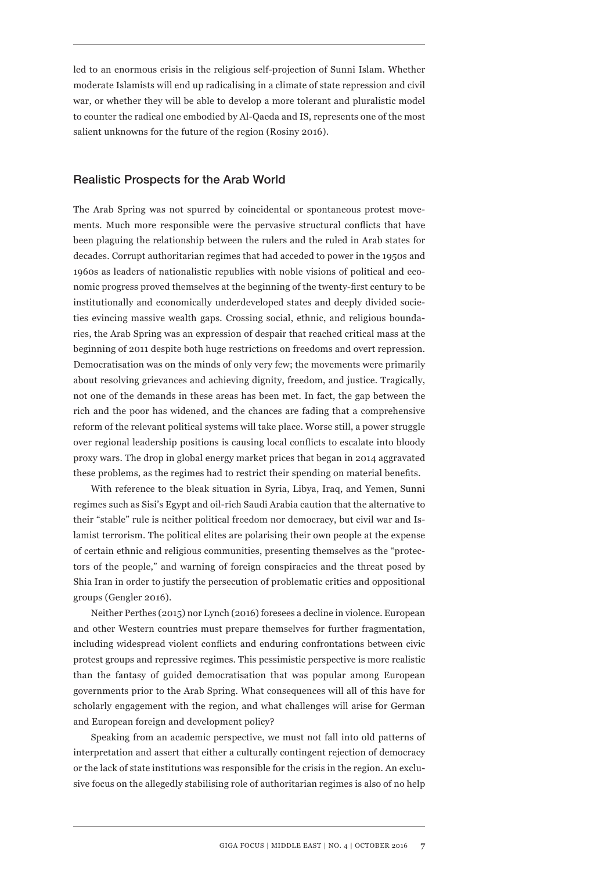led to an enormous crisis in the religious self-projection of Sunni Islam. Whether moderate Islamists will end up radicalising in a climate of state repression and civil war, or whether they will be able to develop a more tolerant and pluralistic model to counter the radical one embodied by Al-Qaeda and IS, represents one of the most salient unknowns for the future of the region (Rosiny 2016).

#### Realistic Prospects for the Arab World

The Arab Spring was not spurred by coincidental or spontaneous protest movements. Much more responsible were the pervasive structural conflicts that have been plaguing the relationship between the rulers and the ruled in Arab states for decades. Corrupt authoritarian regimes that had acceded to power in the 1950s and 1960s as leaders of nationalistic republics with noble visions of political and economic progress proved themselves at the beginning of the twenty-first century to be institutionally and economically underdeveloped states and deeply divided societies evincing massive wealth gaps. Crossing social, ethnic, and religious boundaries, the Arab Spring was an expression of despair that reached critical mass at the beginning of 2011 despite both huge restrictions on freedoms and overt repression. Democratisation was on the minds of only very few; the movements were primarily about resolving grievances and achieving dignity, freedom, and justice. Tragically, not one of the demands in these areas has been met. In fact, the gap between the rich and the poor has widened, and the chances are fading that a comprehensive reform of the relevant political systems will take place. Worse still, a power struggle over regional leadership positions is causing local conflicts to escalate into bloody proxy wars. The drop in global energy market prices that began in 2014 aggravated these problems, as the regimes had to restrict their spending on material benefits.

With reference to the bleak situation in Syria, Libya, Iraq, and Yemen, Sunni regimes such as Sisi's Egypt and oil-rich Saudi Arabia caution that the alternative to their "stable" rule is neither political freedom nor democracy, but civil war and Islamist terrorism. The political elites are polarising their own people at the expense of certain ethnic and religious communities, presenting themselves as the "protectors of the people," and warning of foreign conspiracies and the threat posed by Shia Iran in order to justify the persecution of problematic critics and oppositional groups (Gengler 2016).

Neither Perthes (2015) nor Lynch (2016) foresees a decline in violence. European and other Western countries must prepare themselves for further fragmentation, including widespread violent conflicts and enduring confrontations between civic protest groups and repressive regimes. This pessimistic perspective is more realistic than the fantasy of guided democratisation that was popular among European governments prior to the Arab Spring. What consequences will all of this have for scholarly engagement with the region, and what challenges will arise for German and European foreign and development policy?

Speaking from an academic perspective, we must not fall into old patterns of interpretation and assert that either a culturally contingent rejection of democracy or the lack of state institutions was responsible for the crisis in the region. An exclusive focus on the allegedly stabilising role of authoritarian regimes is also of no help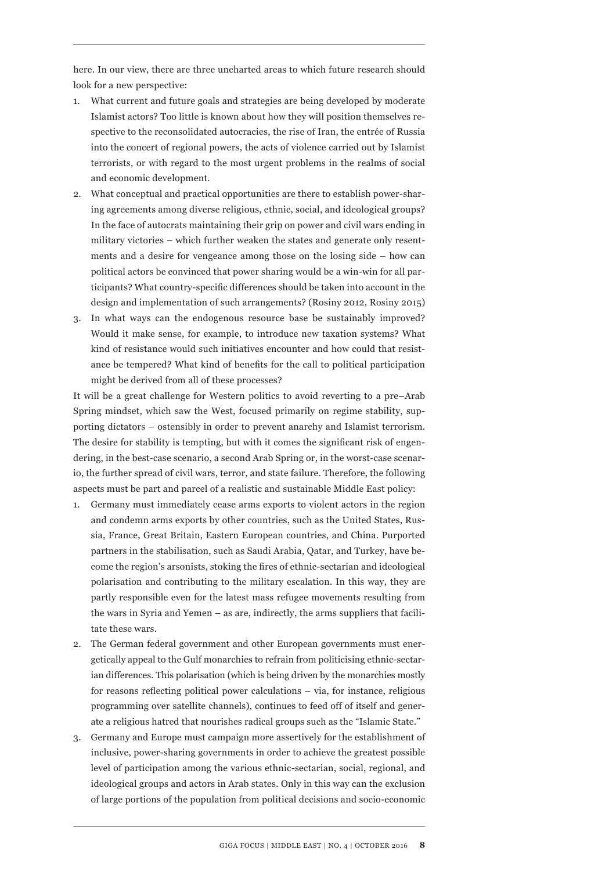here. In our view, there are three uncharted areas to which future research should look for a new perspective:

- 1. What current and future goals and strategies are being developed by moderate Islamist actors? Too little is known about how they will position themselves respective to the reconsolidated autocracies, the rise of Iran, the entrée of Russia into the concert of regional powers, the acts of violence carried out by Islamist terrorists, or with regard to the most urgent problems in the realms of social and economic development.
- 2. What conceptual and practical opportunities are there to establish power-sharing agreements among diverse religious, ethnic, social, and ideological groups? In the face of autocrats maintaining their grip on power and civil wars ending in military victories – which further weaken the states and generate only resentments and a desire for vengeance among those on the losing side – how can political actors be convinced that power sharing would be a win-win for all participants? What country-specific differences should be taken into account in the design and implementation of such arrangements? (Rosiny 2012, Rosiny 2015)
- 3. In what ways can the endogenous resource base be sustainably improved? Would it make sense, for example, to introduce new taxation systems? What kind of resistance would such initiatives encounter and how could that resistance be tempered? What kind of benefits for the call to political participation might be derived from all of these processes?

It will be a great challenge for Western politics to avoid reverting to a pre–Arab Spring mindset, which saw the West, focused primarily on regime stability, supporting dictators – ostensibly in order to prevent anarchy and Islamist terrorism. The desire for stability is tempting, but with it comes the significant risk of engendering, in the best-case scenario, a second Arab Spring or, in the worst-case scenario, the further spread of civil wars, terror, and state failure. Therefore, the following aspects must be part and parcel of a realistic and sustainable Middle East policy:

- 1. Germany must immediately cease arms exports to violent actors in the region and condemn arms exports by other countries, such as the United States, Russia, France, Great Britain, Eastern European countries, and China. Purported partners in the stabilisation, such as Saudi Arabia, Qatar, and Turkey, have become the region's arsonists, stoking the fires of ethnic-sectarian and ideological polarisation and contributing to the military escalation. In this way, they are partly responsible even for the latest mass refugee movements resulting from the wars in Syria and Yemen – as are, indirectly, the arms suppliers that facilitate these wars.
- 2. The German federal government and other European governments must energetically appeal to the Gulf monarchies to refrain from politicising ethnic-sectarian differences. This polarisation (which is being driven by the monarchies mostly for reasons reflecting political power calculations – via, for instance, religious programming over satellite channels), continues to feed off of itself and generate a religious hatred that nourishes radical groups such as the "Islamic State."
- 3. Germany and Europe must campaign more assertively for the establishment of inclusive, power-sharing governments in order to achieve the greatest possible level of participation among the various ethnic-sectarian, social, regional, and ideological groups and actors in Arab states. Only in this way can the exclusion of large portions of the population from political decisions and socio-economic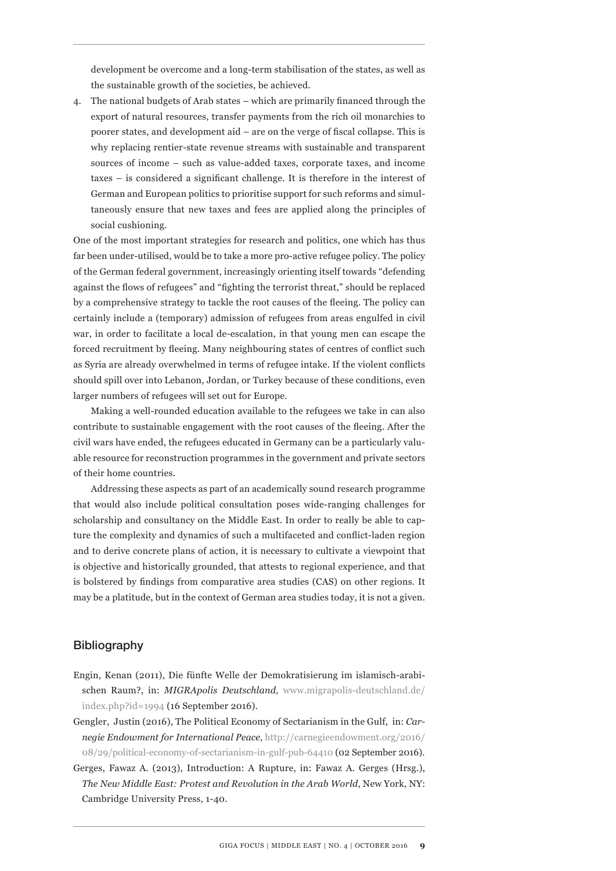development be overcome and a long-term stabilisation of the states, as well as the sustainable growth of the societies, be achieved.

4. The national budgets of Arab states – which are primarily financed through the export of natural resources, transfer payments from the rich oil monarchies to poorer states, and development aid – are on the verge of fiscal collapse. This is why replacing rentier-state revenue streams with sustainable and transparent sources of income – such as value-added taxes, corporate taxes, and income taxes – is considered a significant challenge. It is therefore in the interest of German and European politics to prioritise support for such reforms and simultaneously ensure that new taxes and fees are applied along the principles of social cushioning.

One of the most important strategies for research and politics, one which has thus far been under-utilised, would be to take a more pro-active refugee policy. The policy of the German federal government, increasingly orienting itself towards "defending against the flows of refugees" and "fighting the terrorist threat," should be replaced by a comprehensive strategy to tackle the root causes of the fleeing. The policy can certainly include a (temporary) admission of refugees from areas engulfed in civil war, in order to facilitate a local de-escalation, in that young men can escape the forced recruitment by fleeing. Many neighbouring states of centres of conflict such as Syria are already overwhelmed in terms of refugee intake. If the violent conflicts should spill over into Lebanon, Jordan, or Turkey because of these conditions, even larger numbers of refugees will set out for Europe.

Making a well-rounded education available to the refugees we take in can also contribute to sustainable engagement with the root causes of the fleeing. After the civil wars have ended, the refugees educated in Germany can be a particularly valuable resource for reconstruction programmes in the government and private sectors of their home countries.

Addressing these aspects as part of an academically sound research programme that would also include political consultation poses wide-ranging challenges for scholarship and consultancy on the Middle East. In order to really be able to capture the complexity and dynamics of such a multifaceted and conflict-laden region and to derive concrete plans of action, it is necessary to cultivate a viewpoint that is objective and historically grounded, that attests to regional experience, and that is bolstered by findings from comparative area studies (CAS) on other regions. It may be a platitude, but in the context of German area studies today, it is not a given.

## Bibliography

- Engin, Kenan (2011), Die fünfte Welle der Demokratisierung im islamisch-arabischen Raum?, in: *MIGRApolis Deutschland,* www.migrapolis-deutschland.de/ index.php?id=1994 (16 September 2016).
- Gengler, Justin (2016), The Political Economy of Sectarianism in the Gulf, in: *Carnegie Endowment for International Peace*, http://carnegieendowment.org/2016/ 08/29/political-economy-of-sectarianism-in-gulf-pub-64410 (02 September 2016).
- Gerges, Fawaz A. (2013), Introduction: A Rupture, in: Fawaz A. Gerges (Hrsg.), *The New Middle East: Protest and Revolution in the Arab World*, New York, NY: Cambridge University Press, 1-40.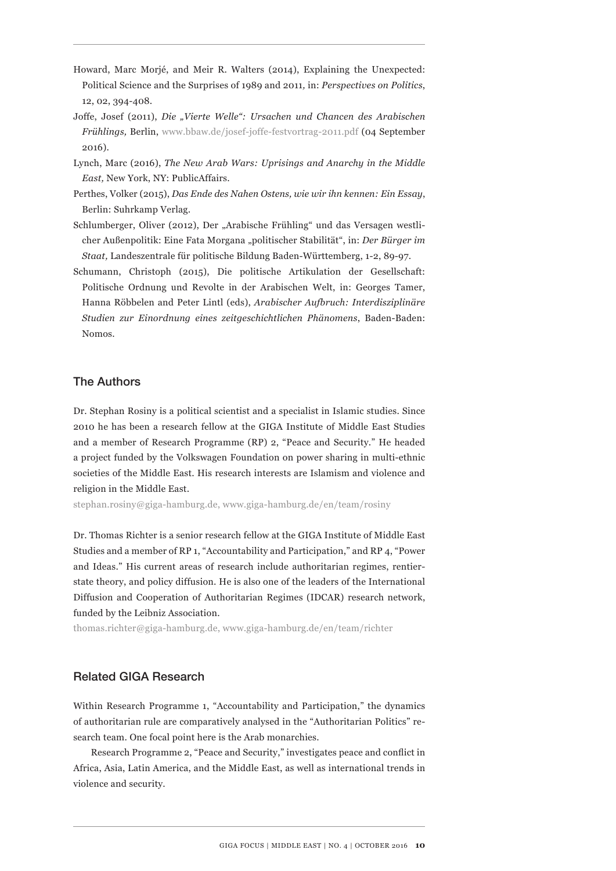- Howard, Marc Morjé, and Meir R. Walters (2014), Explaining the Unexpected: Political Science and the Surprises of 1989 and 2011*,* in: *Perspectives on Politics*, 12, 02, 394-408.
- Joffe, Josef (2011), *Die "Vierte Welle": Ursachen und Chancen des Arabischen Frühlings,* Berlin, www.bbaw.de/josef-joffe-festvortrag-2011.pdf (04 September 2016).
- Lynch, Marc (2016), *The New Arab Wars: Uprisings and Anarchy in the Middle East,* New York, NY: PublicAffairs.
- Perthes, Volker (2015), *Das Ende des Nahen Ostens, wie wir ihn kennen: Ein Essay*, Berlin: Suhrkamp Verlag.
- Schlumberger, Oliver (2012), Der "Arabische Frühling" und das Versagen westlicher Außenpolitik: Eine Fata Morgana "politischer Stabilität", in: *Der Bürger im Staat,* Landeszentrale für politische Bildung Baden-Württemberg, 1-2, 89-97.
- Schumann, Christoph (2015), Die politische Artikulation der Gesellschaft: Politische Ordnung und Revolte in der Arabischen Welt, in: Georges Tamer, Hanna Röbbelen and Peter Lintl (eds), *Arabischer Aufbruch: Interdisziplinäre Studien zur Einordnung eines zeitgeschichtlichen Phänomens*, Baden-Baden: Nomos.

# The Authors

Dr. Stephan Rosiny is a political scientist and a specialist in Islamic studies. Since 2010 he has been a research fellow at the GIGA Institute of Middle East Studies and a member of Research Programme (RP) 2, "Peace and Security." He headed a project funded by the Volkswagen Foundation on power sharing in multi-ethnic societies of the Middle East. His research interests are Islamism and violence and religion in the Middle East.

stephan.rosiny@giga-hamburg.de, www.giga-hamburg.de/en/team/rosiny

Dr. Thomas Richter is a senior research fellow at the GIGA Institute of Middle East Studies and a member of RP 1, "Accountability and Participation," and RP 4, "Power and Ideas." His current areas of research include authoritarian regimes, rentierstate theory, and policy diffusion. He is also one of the leaders of the International Diffusion and Cooperation of Authoritarian Regimes (IDCAR) research network, funded by the Leibniz Association.

thomas.richter@giga-hamburg.de, www.giga-hamburg.de/en/team/richter

# Related GIGA Research

Within Research Programme 1, "Accountability and Participation," the dynamics of authoritarian rule are comparatively analysed in the "Authoritarian Politics" research team. One focal point here is the Arab monarchies.

Research Programme 2, "Peace and Security," investigates peace and conflict in Africa, Asia, Latin America, and the Middle East, as well as international trends in violence and security.